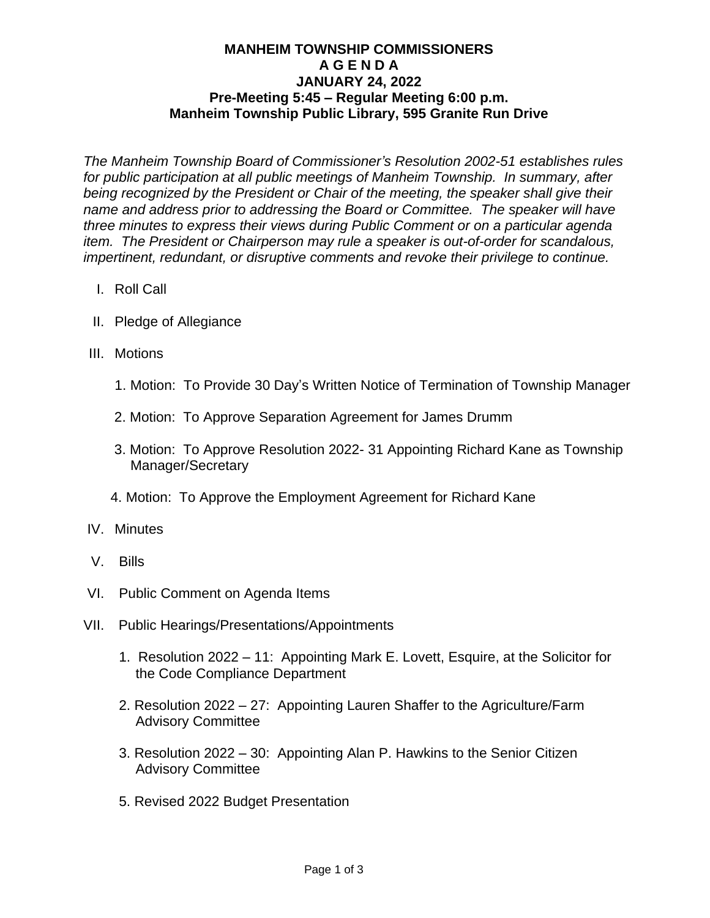## **MANHEIM TOWNSHIP COMMISSIONERS A G E N D A JANUARY 24, 2022 Pre-Meeting 5:45 – Regular Meeting 6:00 p.m. Manheim Township Public Library, 595 Granite Run Drive**

*The Manheim Township Board of Commissioner's Resolution 2002-51 establishes rules for public participation at all public meetings of Manheim Township. In summary, after being recognized by the President or Chair of the meeting, the speaker shall give their name and address prior to addressing the Board or Committee. The speaker will have three minutes to express their views during Public Comment or on a particular agenda item. The President or Chairperson may rule a speaker is out-of-order for scandalous, impertinent, redundant, or disruptive comments and revoke their privilege to continue.*

- I. Roll Call
- II. Pledge of Allegiance
- III. Motions
	- 1. Motion: To Provide 30 Day's Written Notice of Termination of Township Manager
	- 2. Motion: To Approve Separation Agreement for James Drumm
	- 3. Motion: To Approve Resolution 2022- 31 Appointing Richard Kane as Township Manager/Secretary
	- 4. Motion: To Approve the Employment Agreement for Richard Kane
- IV. Minutes
- V. Bills
- VI. Public Comment on Agenda Items
- VII. Public Hearings/Presentations/Appointments
	- 1. Resolution 2022 11: Appointing Mark E. Lovett, Esquire, at the Solicitor for the Code Compliance Department
	- 2. Resolution 2022 27: Appointing Lauren Shaffer to the Agriculture/Farm Advisory Committee
	- 3. Resolution 2022 30: Appointing Alan P. Hawkins to the Senior Citizen Advisory Committee
	- 5. Revised 2022 Budget Presentation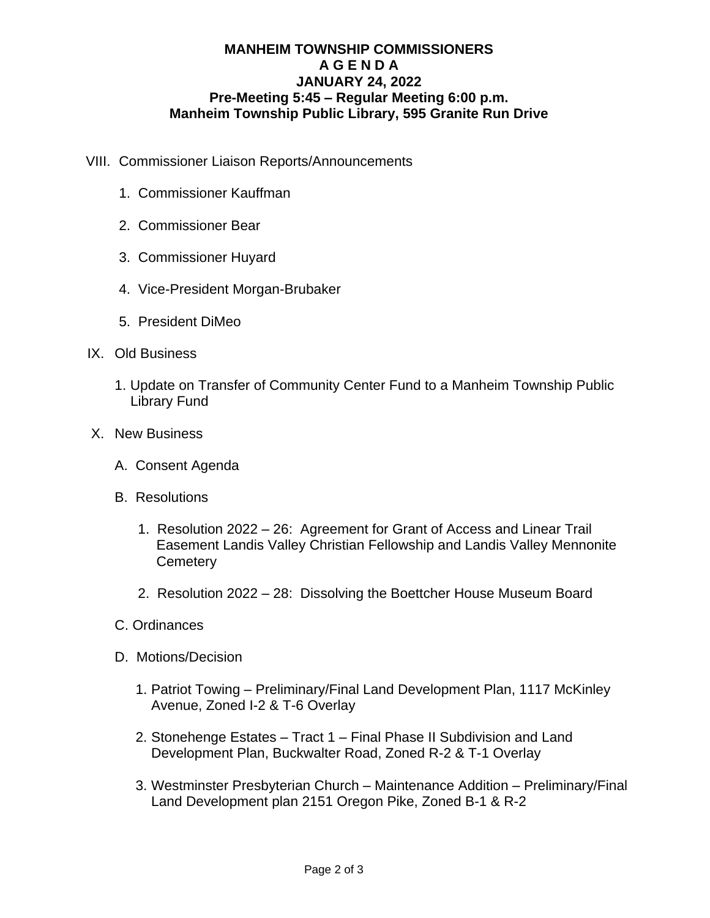## **MANHEIM TOWNSHIP COMMISSIONERS A G E N D A JANUARY 24, 2022 Pre-Meeting 5:45 – Regular Meeting 6:00 p.m. Manheim Township Public Library, 595 Granite Run Drive**

- VIII. Commissioner Liaison Reports/Announcements
	- 1. Commissioner Kauffman
	- 2. Commissioner Bear
	- 3. Commissioner Huyard
	- 4. Vice-President Morgan-Brubaker
	- 5. President DiMeo
- IX. Old Business
	- 1. Update on Transfer of Community Center Fund to a Manheim Township Public Library Fund
- X. New Business
	- A. Consent Agenda
	- B. Resolutions
		- 1. Resolution 2022 26: Agreement for Grant of Access and Linear Trail Easement Landis Valley Christian Fellowship and Landis Valley Mennonite **Cemetery**
		- 2. Resolution 2022 28: Dissolving the Boettcher House Museum Board
	- C. Ordinances
	- D. Motions/Decision
		- 1. Patriot Towing Preliminary/Final Land Development Plan, 1117 McKinley Avenue, Zoned I-2 & T-6 Overlay
		- 2. Stonehenge Estates Tract 1 Final Phase II Subdivision and Land Development Plan, Buckwalter Road, Zoned R-2 & T-1 Overlay
		- 3. Westminster Presbyterian Church Maintenance Addition Preliminary/Final Land Development plan 2151 Oregon Pike, Zoned B-1 & R-2